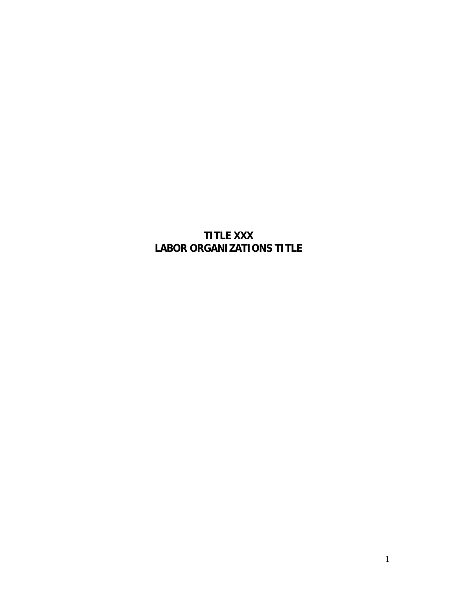# **TITLE XXX LABOR ORGANIZATIONS TITLE**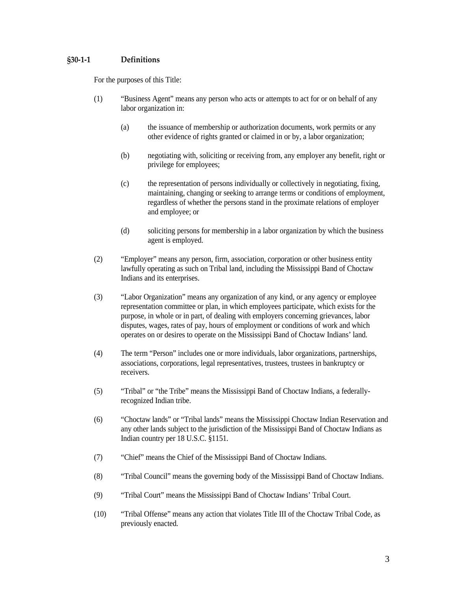## <span id="page-2-0"></span>**§30-1-1 Definitions**

For the purposes of this Title:

- (1) "Business Agent" means any person who acts or attempts to act for or on behalf of any labor organization in:
	- (a) the issuance of membership or authorization documents, work permits or any other evidence of rights granted or claimed in or by, a labor organization;
	- (b) negotiating with, soliciting or receiving from, any employer any benefit, right or privilege for employees;
	- (c) the representation of persons individually or collectively in negotiating, fixing, maintaining, changing or seeking to arrange terms or conditions of employment, regardless of whether the persons stand in the proximate relations of employer and employee; or
	- (d) soliciting persons for membership in a labor organization by which the business agent is employed.
- (2) "Employer" means any person, firm, association, corporation or other business entity lawfully operating as such on Tribal land, including the Mississippi Band of Choctaw Indians and its enterprises.
- (3) "Labor Organization" means any organization of any kind, or any agency or employee representation committee or plan, in which employees participate, which exists for the purpose, in whole or in part, of dealing with employers concerning grievances, labor disputes, wages, rates of pay, hours of employment or conditions of work and which operates on or desires to operate on the Mississippi Band of Choctaw Indians' land.
- (4) The term "Person" includes one or more individuals, labor organizations, partnerships, associations, corporations, legal representatives, trustees, trustees in bankruptcy or receivers.
- (5) "Tribal" or "the Tribe" means the Mississippi Band of Choctaw Indians, a federallyrecognized Indian tribe.
- (6) "Choctaw lands" or "Tribal lands" means the Mississippi Choctaw Indian Reservation and any other lands subject to the jurisdiction of the Mississippi Band of Choctaw Indians as Indian country per 18 U.S.C. §1151.
- (7) "Chief" means the Chief of the Mississippi Band of Choctaw Indians.
- (8) "Tribal Council" means the governing body of the Mississippi Band of Choctaw Indians.
- (9) "Tribal Court" means the Mississippi Band of Choctaw Indians' Tribal Court.
- (10) "Tribal Offense" means any action that violates Title III of the Choctaw Tribal Code, as previously enacted.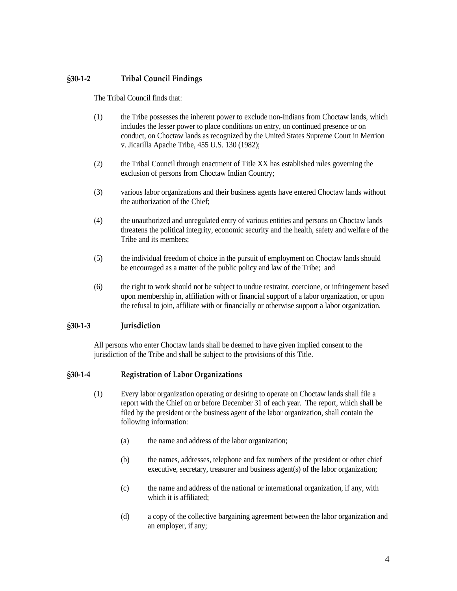## <span id="page-3-0"></span>**§30-1-2 Tribal Council Findings**

The Tribal Council finds that:

- (1) the Tribe possesses the inherent power to exclude non-Indians from Choctaw lands, which includes the lesser power to place conditions on entry, on continued presence or on conduct, on Choctaw lands as recognized by the United States Supreme Court in Merrion v. Jicarilla Apache Tribe, 455 U.S. 130 (1982);
- (2) the Tribal Council through enactment of Title XX has established rules governing the exclusion of persons from Choctaw Indian Country;
- (3) various labor organizations and their business agents have entered Choctaw lands without the authorization of the Chief;
- (4) the unauthorized and unregulated entry of various entities and persons on Choctaw lands threatens the political integrity, economic security and the health, safety and welfare of the Tribe and its members;
- (5) the individual freedom of choice in the pursuit of employment on Choctaw lands should be encouraged as a matter of the public policy and law of the Tribe; and
- (6) the right to work should not be subject to undue restraint, coercione, or infringement based upon membership in, affiliation with or financial support of a labor organization, or upon the refusal to join, affiliate with or financially or otherwise support a labor organization.

#### <span id="page-3-1"></span>**§30-1-3 Jurisdiction**

All persons who enter Choctaw lands shall be deemed to have given implied consent to the jurisdiction of the Tribe and shall be subject to the provisions of this Title.

#### <span id="page-3-2"></span>**§30-1-4 Registration of Labor Organizations**

- (1) Every labor organization operating or desiring to operate on Choctaw lands shall file a report with the Chief on or before December 31 of each year. The report, which shall be filed by the president or the business agent of the labor organization, shall contain the following information:
	- (a) the name and address of the labor organization;
	- (b) the names, addresses, telephone and fax numbers of the president or other chief executive, secretary, treasurer and business agent(s) of the labor organization;
	- (c) the name and address of the national or international organization, if any, with which it is affiliated;
	- (d) a copy of the collective bargaining agreement between the labor organization and an employer, if any;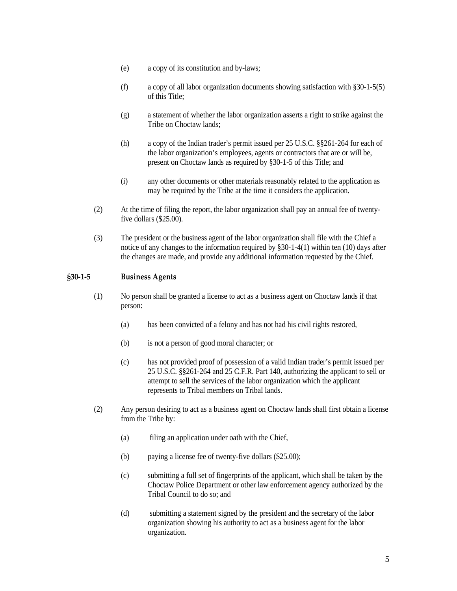- (e) a copy of its constitution and by-laws;
- (f) a copy of all labor organization documents showing satisfaction with §30-1-5(5) of this Title;
- (g) a statement of whether the labor organization asserts a right to strike against the Tribe on Choctaw lands;
- (h) a copy of the Indian trader's permit issued per 25 U.S.C. §§261-264 for each of the labor organization's employees, agents or contractors that are or will be, present on Choctaw lands as required by §30-1-5 of this Title; and
- (i) any other documents or other materials reasonably related to the application as may be required by the Tribe at the time it considers the application.
- (2) At the time of filing the report, the labor organization shall pay an annual fee of twentyfive dollars (\$25.00).
- (3) The president or the business agent of the labor organization shall file with the Chief a notice of any changes to the information required by §30-1-4(1) within ten (10) days after the changes are made, and provide any additional information requested by the Chief.

## <span id="page-4-0"></span>**§30-1-5 Business Agents**

- (1) No person shall be granted a license to act as a business agent on Choctaw lands if that person:
	- (a) has been convicted of a felony and has not had his civil rights restored,
	- (b) is not a person of good moral character; or
	- (c) has not provided proof of possession of a valid Indian trader's permit issued per 25 U.S.C. §§261-264 and 25 C.F.R. Part 140, authorizing the applicant to sell or attempt to sell the services of the labor organization which the applicant represents to Tribal members on Tribal lands.
- (2) Any person desiring to act as a business agent on Choctaw lands shall first obtain a license from the Tribe by:
	- (a) filing an application under oath with the Chief,
	- (b) paying a license fee of twenty-five dollars (\$25.00);
	- (c) submitting a full set of fingerprints of the applicant, which shall be taken by the Choctaw Police Department or other law enforcement agency authorized by the Tribal Council to do so; and
	- (d) submitting a statement signed by the president and the secretary of the labor organization showing his authority to act as a business agent for the labor organization.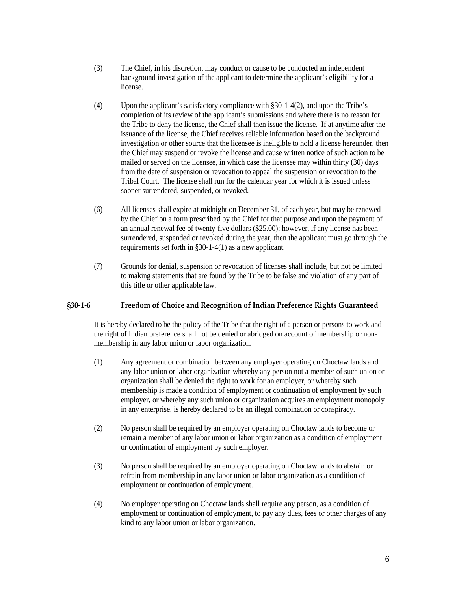- (3) The Chief, in his discretion, may conduct or cause to be conducted an independent background investigation of the applicant to determine the applicant's eligibility for a license.
- (4) Upon the applicant's satisfactory compliance with §30-1-4(2), and upon the Tribe's completion of its review of the applicant's submissions and where there is no reason for the Tribe to deny the license, the Chief shall then issue the license. If at anytime after the issuance of the license, the Chief receives reliable information based on the background investigation or other source that the licensee is ineligible to hold a license hereunder, then the Chief may suspend or revoke the license and cause written notice of such action to be mailed or served on the licensee, in which case the licensee may within thirty (30) days from the date of suspension or revocation to appeal the suspension or revocation to the Tribal Court. The license shall run for the calendar year for which it is issued unless sooner surrendered, suspended, or revoked.
- (6) All licenses shall expire at midnight on December 31, of each year, but may be renewed by the Chief on a form prescribed by the Chief for that purpose and upon the payment of an annual renewal fee of twenty-five dollars (\$25.00); however, if any license has been surrendered, suspended or revoked during the year, then the applicant must go through the requirements set forth in §30-1-4(1) as a new applicant.
- (7) Grounds for denial, suspension or revocation of licenses shall include, but not be limited to making statements that are found by the Tribe to be false and violation of any part of this title or other applicable law.

#### <span id="page-5-0"></span>**§30-1-6 Freedom of Choice and Recognition of Indian Preference Rights Guaranteed**

It is hereby declared to be the policy of the Tribe that the right of a person or persons to work and the right of Indian preference shall not be denied or abridged on account of membership or nonmembership in any labor union or labor organization.

- (1) Any agreement or combination between any employer operating on Choctaw lands and any labor union or labor organization whereby any person not a member of such union or organization shall be denied the right to work for an employer, or whereby such membership is made a condition of employment or continuation of employment by such employer, or whereby any such union or organization acquires an employment monopoly in any enterprise, is hereby declared to be an illegal combination or conspiracy.
- (2) No person shall be required by an employer operating on Choctaw lands to become or remain a member of any labor union or labor organization as a condition of employment or continuation of employment by such employer.
- (3) No person shall be required by an employer operating on Choctaw lands to abstain or refrain from membership in any labor union or labor organization as a condition of employment or continuation of employment.
- (4) No employer operating on Choctaw lands shall require any person, as a condition of employment or continuation of employment, to pay any dues, fees or other charges of any kind to any labor union or labor organization.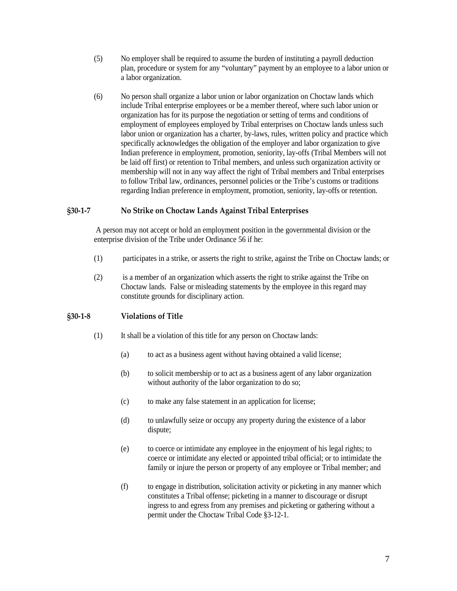- (5) No employer shall be required to assume the burden of instituting a payroll deduction plan, procedure or system for any "voluntary" payment by an employee to a labor union or a labor organization.
- (6) No person shall organize a labor union or labor organization on Choctaw lands which include Tribal enterprise employees or be a member thereof, where such labor union or organization has for its purpose the negotiation or setting of terms and conditions of employment of employees employed by Tribal enterprises on Choctaw lands unless such labor union or organization has a charter, by-laws, rules, written policy and practice which specifically acknowledges the obligation of the employer and labor organization to give Indian preference in employment, promotion, seniority, lay-offs (Tribal Members will not be laid off first) or retention to Tribal members, and unless such organization activity or membership will not in any way affect the right of Tribal members and Tribal enterprises to follow Tribal law, ordinances, personnel policies or the Tribe's customs or traditions regarding Indian preference in employment, promotion, seniority, lay-offs or retention.

#### <span id="page-6-0"></span>**§30-1-7 No Strike on Choctaw Lands Against Tribal Enterprises**

A person may not accept or hold an employment position in the governmental division or the enterprise division of the Tribe under Ordinance 56 if he:

- (1) participates in a strike, or asserts the right to strike, against the Tribe on Choctaw lands; or
- (2) is a member of an organization which asserts the right to strike against the Tribe on Choctaw lands. False or misleading statements by the employee in this regard may constitute grounds for disciplinary action.

#### <span id="page-6-1"></span>**§30-1-8 Violations of Title**

- (1) It shall be a violation of this title for any person on Choctaw lands:
	- (a) to act as a business agent without having obtained a valid license;
	- (b) to solicit membership or to act as a business agent of any labor organization without authority of the labor organization to do so;
	- (c) to make any false statement in an application for license;
	- (d) to unlawfully seize or occupy any property during the existence of a labor dispute;
	- (e) to coerce or intimidate any employee in the enjoyment of his legal rights; to coerce or intimidate any elected or appointed tribal official; or to intimidate the family or injure the person or property of any employee or Tribal member; and
	- (f) to engage in distribution, solicitation activity or picketing in any manner which constitutes a Tribal offense; picketing in a manner to discourage or disrupt ingress to and egress from any premises and picketing or gathering without a permit under the Choctaw Tribal Code §3-12-1.